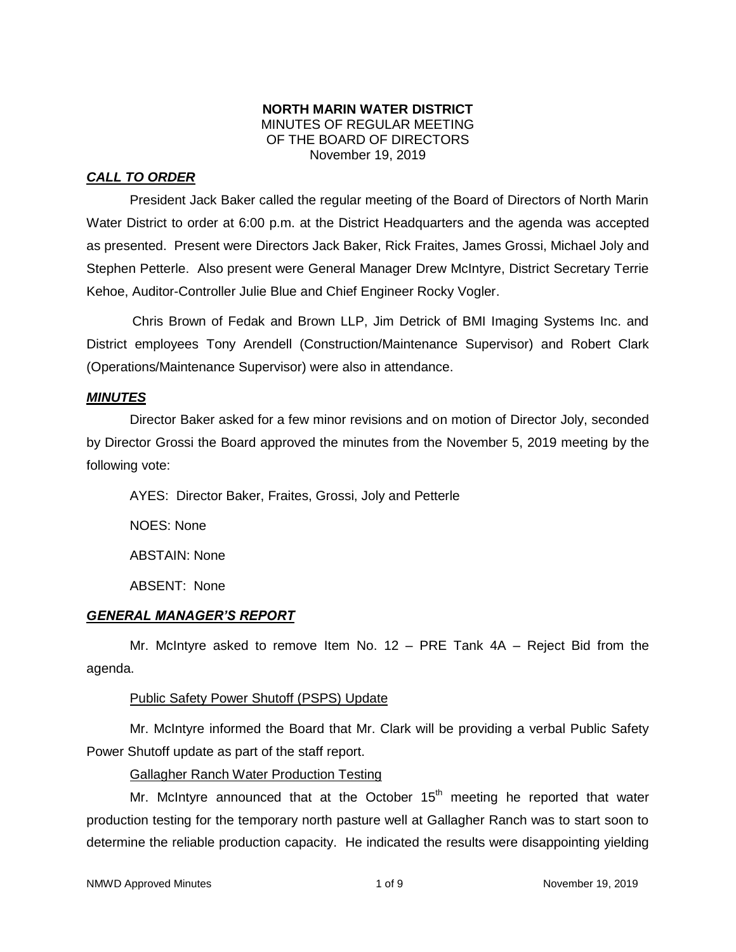# **NORTH MARIN WATER DISTRICT** MINUTES OF REGULAR MEETING OF THE BOARD OF DIRECTORS November 19, 2019

# *CALL TO ORDER*

President Jack Baker called the regular meeting of the Board of Directors of North Marin Water District to order at 6:00 p.m. at the District Headquarters and the agenda was accepted as presented. Present were Directors Jack Baker, Rick Fraites, James Grossi, Michael Joly and Stephen Petterle. Also present were General Manager Drew McIntyre, District Secretary Terrie Kehoe, Auditor-Controller Julie Blue and Chief Engineer Rocky Vogler.

Chris Brown of Fedak and Brown LLP, Jim Detrick of BMI Imaging Systems Inc. and District employees Tony Arendell (Construction/Maintenance Supervisor) and Robert Clark (Operations/Maintenance Supervisor) were also in attendance.

### *MINUTES*

Director Baker asked for a few minor revisions and on motion of Director Joly, seconded by Director Grossi the Board approved the minutes from the November 5, 2019 meeting by the following vote:

AYES: Director Baker, Fraites, Grossi, Joly and Petterle

NOES: None

ABSTAIN: None

ABSENT: None

# *GENERAL MANAGER'S REPORT*

Mr. McIntyre asked to remove Item No.  $12 - PRE$  Tank  $4A - Reject$  Bid from the agenda.

# Public Safety Power Shutoff (PSPS) Update

Mr. McIntyre informed the Board that Mr. Clark will be providing a verbal Public Safety Power Shutoff update as part of the staff report.

Gallagher Ranch Water Production Testing

Mr. McIntyre announced that at the October  $15<sup>th</sup>$  meeting he reported that water production testing for the temporary north pasture well at Gallagher Ranch was to start soon to determine the reliable production capacity. He indicated the results were disappointing yielding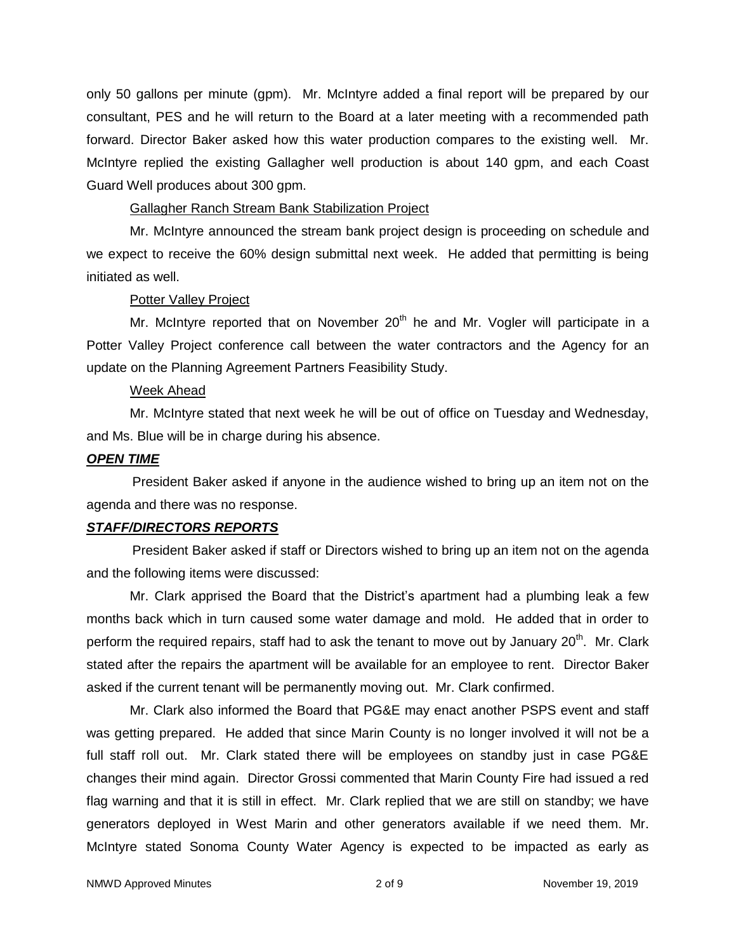only 50 gallons per minute (gpm). Mr. McIntyre added a final report will be prepared by our consultant, PES and he will return to the Board at a later meeting with a recommended path forward. Director Baker asked how this water production compares to the existing well. Mr. McIntyre replied the existing Gallagher well production is about 140 gpm, and each Coast Guard Well produces about 300 gpm.

## Gallagher Ranch Stream Bank Stabilization Project

Mr. McIntyre announced the stream bank project design is proceeding on schedule and we expect to receive the 60% design submittal next week. He added that permitting is being initiated as well.

### Potter Valley Project

Mr. McIntyre reported that on November  $20<sup>th</sup>$  he and Mr. Vogler will participate in a Potter Valley Project conference call between the water contractors and the Agency for an update on the Planning Agreement Partners Feasibility Study.

### Week Ahead

Mr. McIntyre stated that next week he will be out of office on Tuesday and Wednesday, and Ms. Blue will be in charge during his absence.

### *OPEN TIME*

President Baker asked if anyone in the audience wished to bring up an item not on the agenda and there was no response.

# *STAFF/DIRECTORS REPORTS*

President Baker asked if staff or Directors wished to bring up an item not on the agenda and the following items were discussed:

Mr. Clark apprised the Board that the District's apartment had a plumbing leak a few months back which in turn caused some water damage and mold. He added that in order to perform the required repairs, staff had to ask the tenant to move out by January 20<sup>th</sup>. Mr. Clark stated after the repairs the apartment will be available for an employee to rent. Director Baker asked if the current tenant will be permanently moving out. Mr. Clark confirmed.

Mr. Clark also informed the Board that PG&E may enact another PSPS event and staff was getting prepared. He added that since Marin County is no longer involved it will not be a full staff roll out. Mr. Clark stated there will be employees on standby just in case PG&E changes their mind again. Director Grossi commented that Marin County Fire had issued a red flag warning and that it is still in effect. Mr. Clark replied that we are still on standby; we have generators deployed in West Marin and other generators available if we need them. Mr. McIntyre stated Sonoma County Water Agency is expected to be impacted as early as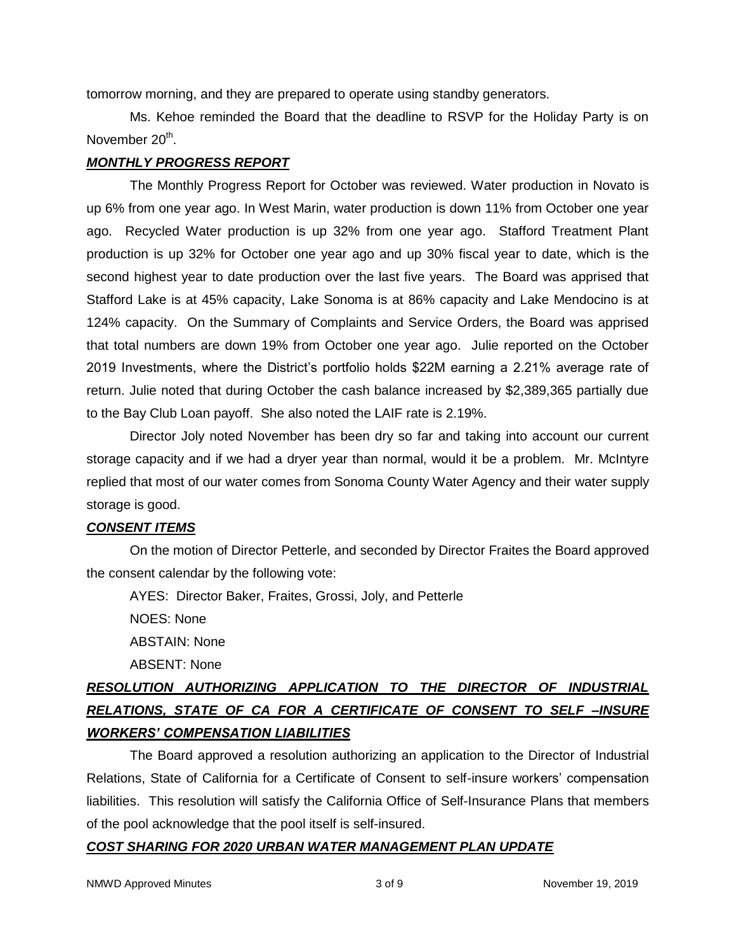tomorrow morning, and they are prepared to operate using standby generators.

Ms. Kehoe reminded the Board that the deadline to RSVP for the Holiday Party is on November 20<sup>th</sup>.

# *MONTHLY PROGRESS REPORT*

The Monthly Progress Report for October was reviewed. Water production in Novato is up 6% from one year ago. In West Marin, water production is down 11% from October one year ago. Recycled Water production is up 32% from one year ago. Stafford Treatment Plant production is up 32% for October one year ago and up 30% fiscal year to date, which is the second highest year to date production over the last five years. The Board was apprised that Stafford Lake is at 45% capacity, Lake Sonoma is at 86% capacity and Lake Mendocino is at 124% capacity. On the Summary of Complaints and Service Orders, the Board was apprised that total numbers are down 19% from October one year ago. Julie reported on the October 2019 Investments, where the District's portfolio holds \$22M earning a 2.21% average rate of return. Julie noted that during October the cash balance increased by \$2,389,365 partially due to the Bay Club Loan payoff. She also noted the LAIF rate is 2.19%.

Director Joly noted November has been dry so far and taking into account our current storage capacity and if we had a dryer year than normal, would it be a problem. Mr. McIntyre replied that most of our water comes from Sonoma County Water Agency and their water supply storage is good.

# *CONSENT ITEMS*

On the motion of Director Petterle, and seconded by Director Fraites the Board approved the consent calendar by the following vote:

AYES: Director Baker, Fraites, Grossi, Joly, and Petterle

NOES: None

ABSTAIN: None

ABSENT: None

# *RESOLUTION AUTHORIZING APPLICATION TO THE DIRECTOR OF INDUSTRIAL RELATIONS, STATE OF CA FOR A CERTIFICATE OF CONSENT TO SELF –INSURE WORKERS' COMPENSATION LIABILITIES*

The Board approved a resolution authorizing an application to the Director of Industrial Relations, State of California for a Certificate of Consent to self-insure workers' compensation liabilities. This resolution will satisfy the California Office of Self-Insurance Plans that members of the pool acknowledge that the pool itself is self-insured.

# *COST SHARING FOR 2020 URBAN WATER MANAGEMENT PLAN UPDATE*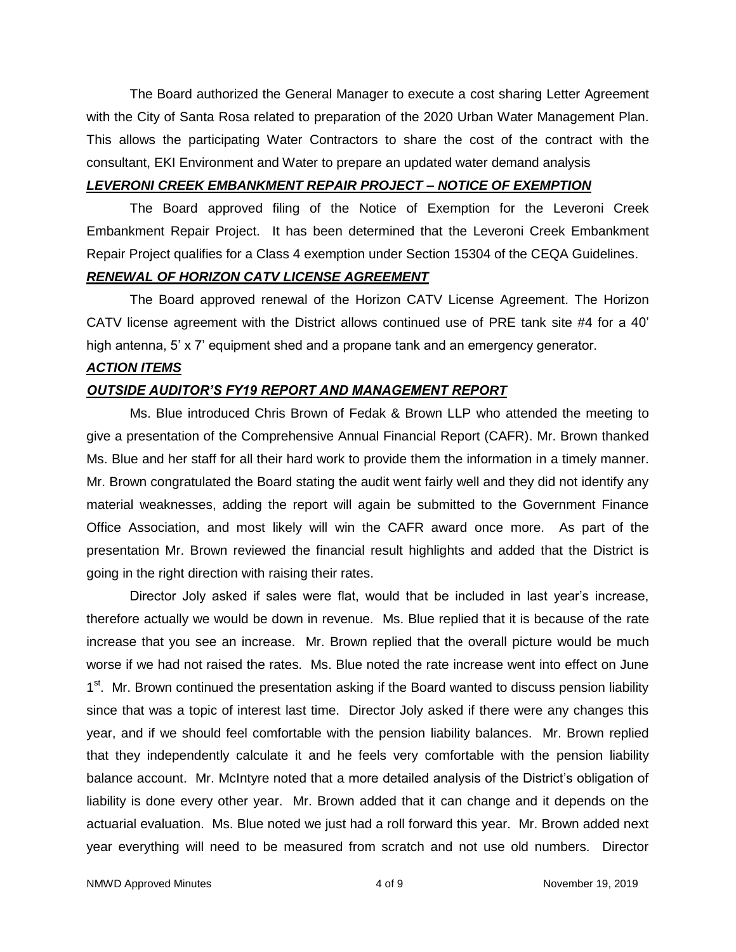The Board authorized the General Manager to execute a cost sharing Letter Agreement with the City of Santa Rosa related to preparation of the 2020 Urban Water Management Plan. This allows the participating Water Contractors to share the cost of the contract with the consultant, EKI Environment and Water to prepare an updated water demand analysis

# *LEVERONI CREEK EMBANKMENT REPAIR PROJECT – NOTICE OF EXEMPTION*

The Board approved filing of the Notice of Exemption for the Leveroni Creek Embankment Repair Project. It has been determined that the Leveroni Creek Embankment Repair Project qualifies for a Class 4 exemption under Section 15304 of the CEQA Guidelines.

# *RENEWAL OF HORIZON CATV LICENSE AGREEMENT*

The Board approved renewal of the Horizon CATV License Agreement. The Horizon CATV license agreement with the District allows continued use of PRE tank site #4 for a 40' high antenna, 5' x 7' equipment shed and a propane tank and an emergency generator.

### *ACTION ITEMS*

# *OUTSIDE AUDITOR'S FY19 REPORT AND MANAGEMENT REPORT*

Ms. Blue introduced Chris Brown of Fedak & Brown LLP who attended the meeting to give a presentation of the Comprehensive Annual Financial Report (CAFR). Mr. Brown thanked Ms. Blue and her staff for all their hard work to provide them the information in a timely manner. Mr. Brown congratulated the Board stating the audit went fairly well and they did not identify any material weaknesses, adding the report will again be submitted to the Government Finance Office Association, and most likely will win the CAFR award once more. As part of the presentation Mr. Brown reviewed the financial result highlights and added that the District is going in the right direction with raising their rates.

Director Joly asked if sales were flat, would that be included in last year's increase, therefore actually we would be down in revenue. Ms. Blue replied that it is because of the rate increase that you see an increase. Mr. Brown replied that the overall picture would be much worse if we had not raised the rates. Ms. Blue noted the rate increase went into effect on June 1<sup>st</sup>. Mr. Brown continued the presentation asking if the Board wanted to discuss pension liability since that was a topic of interest last time. Director Joly asked if there were any changes this year, and if we should feel comfortable with the pension liability balances. Mr. Brown replied that they independently calculate it and he feels very comfortable with the pension liability balance account. Mr. McIntyre noted that a more detailed analysis of the District's obligation of liability is done every other year. Mr. Brown added that it can change and it depends on the actuarial evaluation. Ms. Blue noted we just had a roll forward this year. Mr. Brown added next year everything will need to be measured from scratch and not use old numbers. Director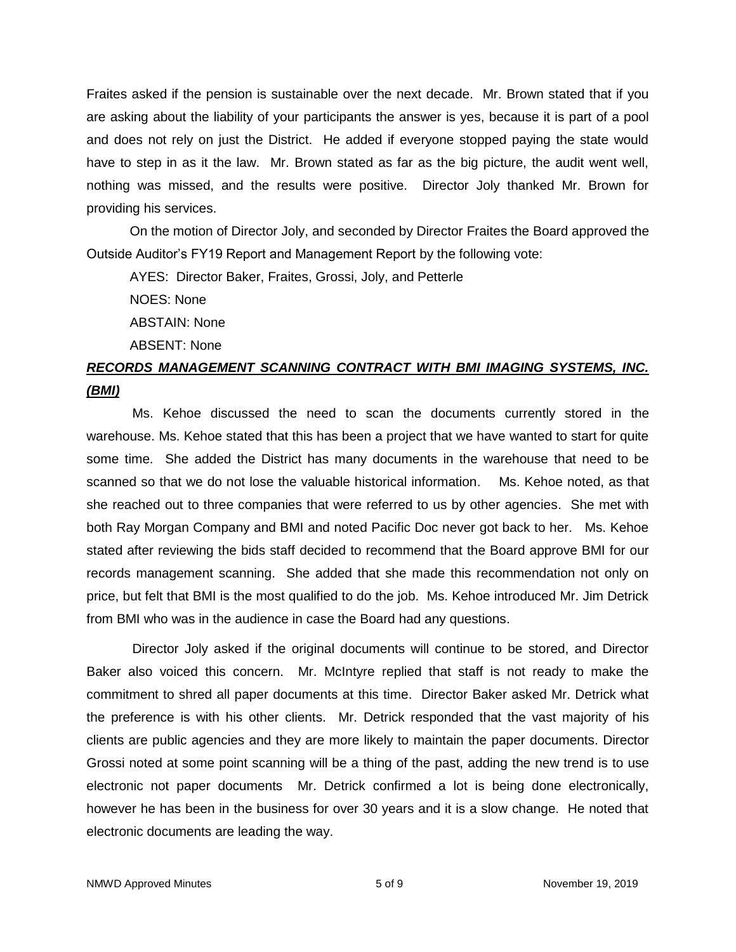Fraites asked if the pension is sustainable over the next decade. Mr. Brown stated that if you are asking about the liability of your participants the answer is yes, because it is part of a pool and does not rely on just the District. He added if everyone stopped paying the state would have to step in as it the law. Mr. Brown stated as far as the big picture, the audit went well, nothing was missed, and the results were positive. Director Joly thanked Mr. Brown for providing his services.

On the motion of Director Joly, and seconded by Director Fraites the Board approved the Outside Auditor's FY19 Report and Management Report by the following vote:

AYES: Director Baker, Fraites, Grossi, Joly, and Petterle

NOES: None

ABSTAIN: None

ABSENT: None

# *RECORDS MANAGEMENT SCANNING CONTRACT WITH BMI IMAGING SYSTEMS, INC. (BMI)*

Ms. Kehoe discussed the need to scan the documents currently stored in the warehouse. Ms. Kehoe stated that this has been a project that we have wanted to start for quite some time. She added the District has many documents in the warehouse that need to be scanned so that we do not lose the valuable historical information. Ms. Kehoe noted, as that she reached out to three companies that were referred to us by other agencies. She met with both Ray Morgan Company and BMI and noted Pacific Doc never got back to her. Ms. Kehoe stated after reviewing the bids staff decided to recommend that the Board approve BMI for our records management scanning. She added that she made this recommendation not only on price, but felt that BMI is the most qualified to do the job. Ms. Kehoe introduced Mr. Jim Detrick from BMI who was in the audience in case the Board had any questions.

Director Joly asked if the original documents will continue to be stored, and Director Baker also voiced this concern. Mr. McIntyre replied that staff is not ready to make the commitment to shred all paper documents at this time. Director Baker asked Mr. Detrick what the preference is with his other clients. Mr. Detrick responded that the vast majority of his clients are public agencies and they are more likely to maintain the paper documents. Director Grossi noted at some point scanning will be a thing of the past, adding the new trend is to use electronic not paper documents Mr. Detrick confirmed a lot is being done electronically, however he has been in the business for over 30 years and it is a slow change. He noted that electronic documents are leading the way.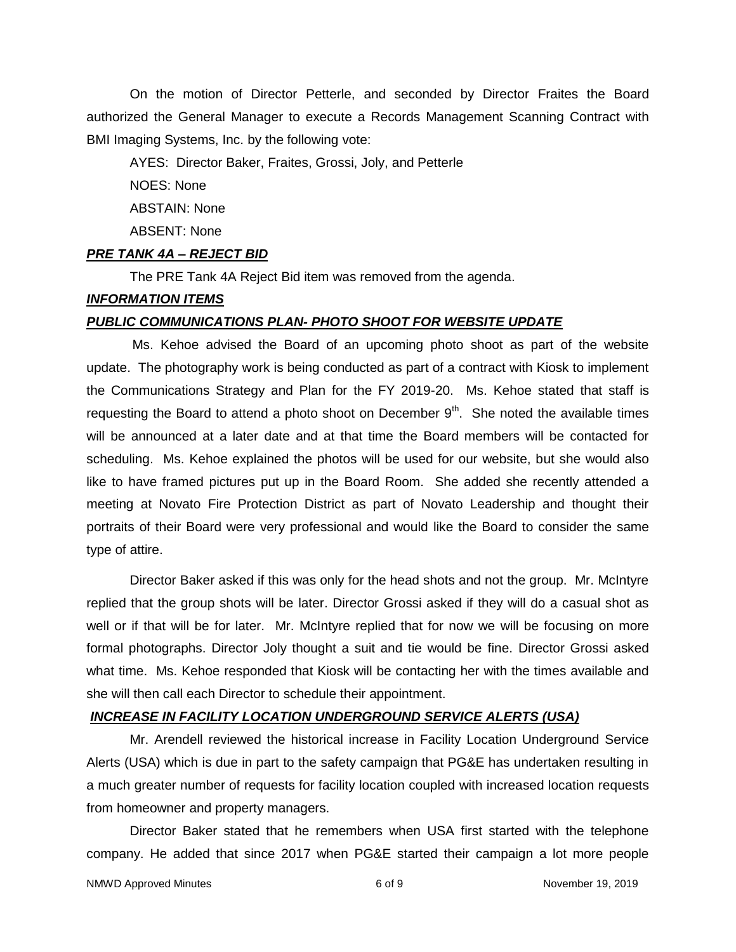On the motion of Director Petterle, and seconded by Director Fraites the Board authorized the General Manager to execute a Records Management Scanning Contract with BMI Imaging Systems, Inc. by the following vote:

AYES: Director Baker, Fraites, Grossi, Joly, and Petterle

NOES: None

ABSTAIN: None

ABSENT: None

#### *PRE TANK 4A – REJECT BID*

The PRE Tank 4A Reject Bid item was removed from the agenda.

#### *INFORMATION ITEMS*

#### *PUBLIC COMMUNICATIONS PLAN- PHOTO SHOOT FOR WEBSITE UPDATE*

Ms. Kehoe advised the Board of an upcoming photo shoot as part of the website update. The photography work is being conducted as part of a contract with Kiosk to implement the Communications Strategy and Plan for the FY 2019-20. Ms. Kehoe stated that staff is requesting the Board to attend a photo shoot on December  $9<sup>th</sup>$ . She noted the available times will be announced at a later date and at that time the Board members will be contacted for scheduling. Ms. Kehoe explained the photos will be used for our website, but she would also like to have framed pictures put up in the Board Room. She added she recently attended a meeting at Novato Fire Protection District as part of Novato Leadership and thought their portraits of their Board were very professional and would like the Board to consider the same type of attire.

Director Baker asked if this was only for the head shots and not the group. Mr. McIntyre replied that the group shots will be later. Director Grossi asked if they will do a casual shot as well or if that will be for later. Mr. McIntyre replied that for now we will be focusing on more formal photographs. Director Joly thought a suit and tie would be fine. Director Grossi asked what time. Ms. Kehoe responded that Kiosk will be contacting her with the times available and she will then call each Director to schedule their appointment.

#### *INCREASE IN FACILITY LOCATION UNDERGROUND SERVICE ALERTS (USA)*

Mr. Arendell reviewed the historical increase in Facility Location Underground Service Alerts (USA) which is due in part to the safety campaign that PG&E has undertaken resulting in a much greater number of requests for facility location coupled with increased location requests from homeowner and property managers.

Director Baker stated that he remembers when USA first started with the telephone company. He added that since 2017 when PG&E started their campaign a lot more people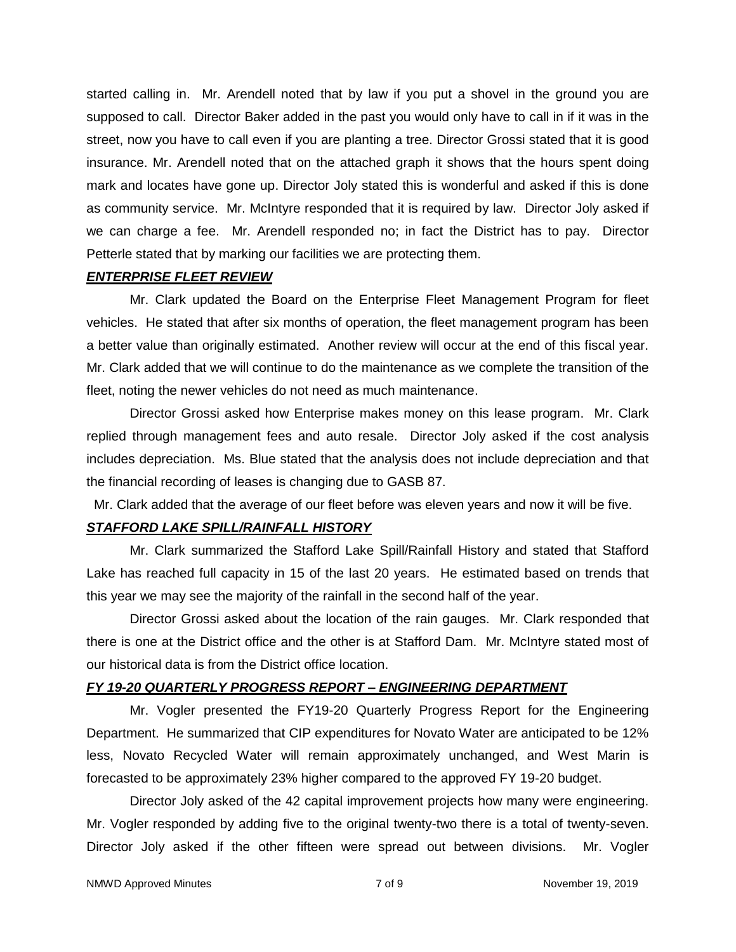started calling in. Mr. Arendell noted that by law if you put a shovel in the ground you are supposed to call. Director Baker added in the past you would only have to call in if it was in the street, now you have to call even if you are planting a tree. Director Grossi stated that it is good insurance. Mr. Arendell noted that on the attached graph it shows that the hours spent doing mark and locates have gone up. Director Joly stated this is wonderful and asked if this is done as community service. Mr. McIntyre responded that it is required by law. Director Joly asked if we can charge a fee. Mr. Arendell responded no; in fact the District has to pay. Director Petterle stated that by marking our facilities we are protecting them.

#### *ENTERPRISE FLEET REVIEW*

Mr. Clark updated the Board on the Enterprise Fleet Management Program for fleet vehicles. He stated that after six months of operation, the fleet management program has been a better value than originally estimated. Another review will occur at the end of this fiscal year. Mr. Clark added that we will continue to do the maintenance as we complete the transition of the fleet, noting the newer vehicles do not need as much maintenance.

Director Grossi asked how Enterprise makes money on this lease program. Mr. Clark replied through management fees and auto resale. Director Joly asked if the cost analysis includes depreciation. Ms. Blue stated that the analysis does not include depreciation and that the financial recording of leases is changing due to GASB 87.

Mr. Clark added that the average of our fleet before was eleven years and now it will be five.

# *STAFFORD LAKE SPILL/RAINFALL HISTORY*

Mr. Clark summarized the Stafford Lake Spill/Rainfall History and stated that Stafford Lake has reached full capacity in 15 of the last 20 years. He estimated based on trends that this year we may see the majority of the rainfall in the second half of the year.

Director Grossi asked about the location of the rain gauges. Mr. Clark responded that there is one at the District office and the other is at Stafford Dam. Mr. McIntyre stated most of our historical data is from the District office location.

# *FY 19-20 QUARTERLY PROGRESS REPORT – ENGINEERING DEPARTMENT*

Mr. Vogler presented the FY19-20 Quarterly Progress Report for the Engineering Department. He summarized that CIP expenditures for Novato Water are anticipated to be 12% less, Novato Recycled Water will remain approximately unchanged, and West Marin is forecasted to be approximately 23% higher compared to the approved FY 19-20 budget.

Director Joly asked of the 42 capital improvement projects how many were engineering. Mr. Vogler responded by adding five to the original twenty-two there is a total of twenty-seven. Director Joly asked if the other fifteen were spread out between divisions. Mr. Vogler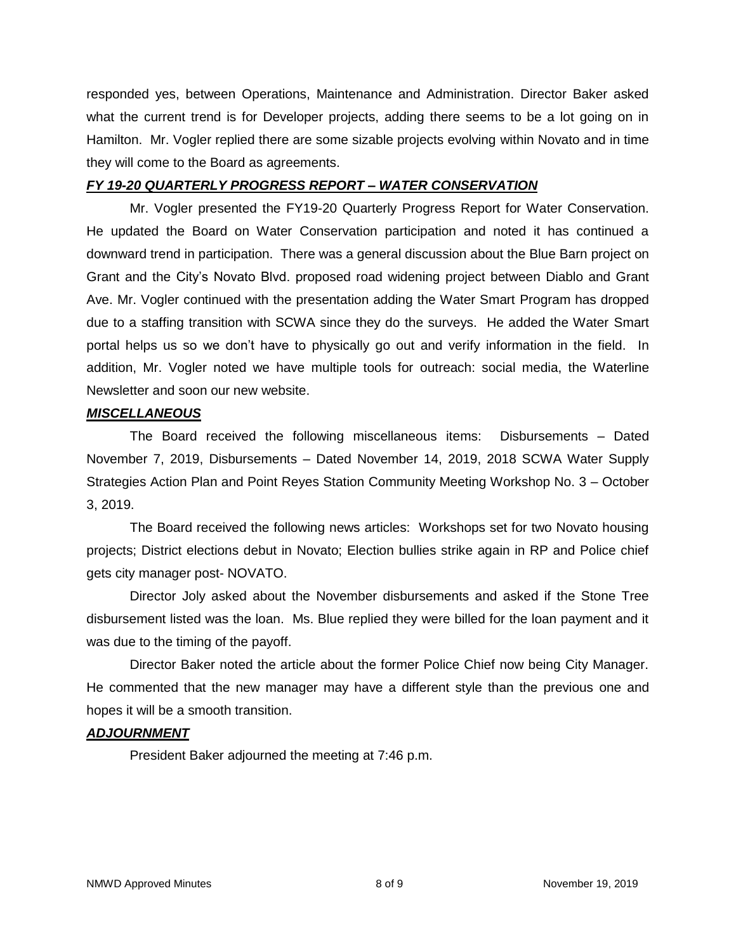responded yes, between Operations, Maintenance and Administration. Director Baker asked what the current trend is for Developer projects, adding there seems to be a lot going on in Hamilton. Mr. Vogler replied there are some sizable projects evolving within Novato and in time they will come to the Board as agreements.

### *FY 19-20 QUARTERLY PROGRESS REPORT – WATER CONSERVATION*

Mr. Vogler presented the FY19-20 Quarterly Progress Report for Water Conservation. He updated the Board on Water Conservation participation and noted it has continued a downward trend in participation. There was a general discussion about the Blue Barn project on Grant and the City's Novato Blvd. proposed road widening project between Diablo and Grant Ave. Mr. Vogler continued with the presentation adding the Water Smart Program has dropped due to a staffing transition with SCWA since they do the surveys. He added the Water Smart portal helps us so we don't have to physically go out and verify information in the field. In addition, Mr. Vogler noted we have multiple tools for outreach: social media, the Waterline Newsletter and soon our new website.

# *MISCELLANEOUS*

The Board received the following miscellaneous items: Disbursements – Dated November 7, 2019, Disbursements – Dated November 14, 2019, 2018 SCWA Water Supply Strategies Action Plan and Point Reyes Station Community Meeting Workshop No. 3 – October 3, 2019.

The Board received the following news articles: Workshops set for two Novato housing projects; District elections debut in Novato; Election bullies strike again in RP and Police chief gets city manager post- NOVATO.

Director Joly asked about the November disbursements and asked if the Stone Tree disbursement listed was the loan. Ms. Blue replied they were billed for the loan payment and it was due to the timing of the payoff.

Director Baker noted the article about the former Police Chief now being City Manager. He commented that the new manager may have a different style than the previous one and hopes it will be a smooth transition.

# *ADJOURNMENT*

President Baker adjourned the meeting at 7:46 p.m.